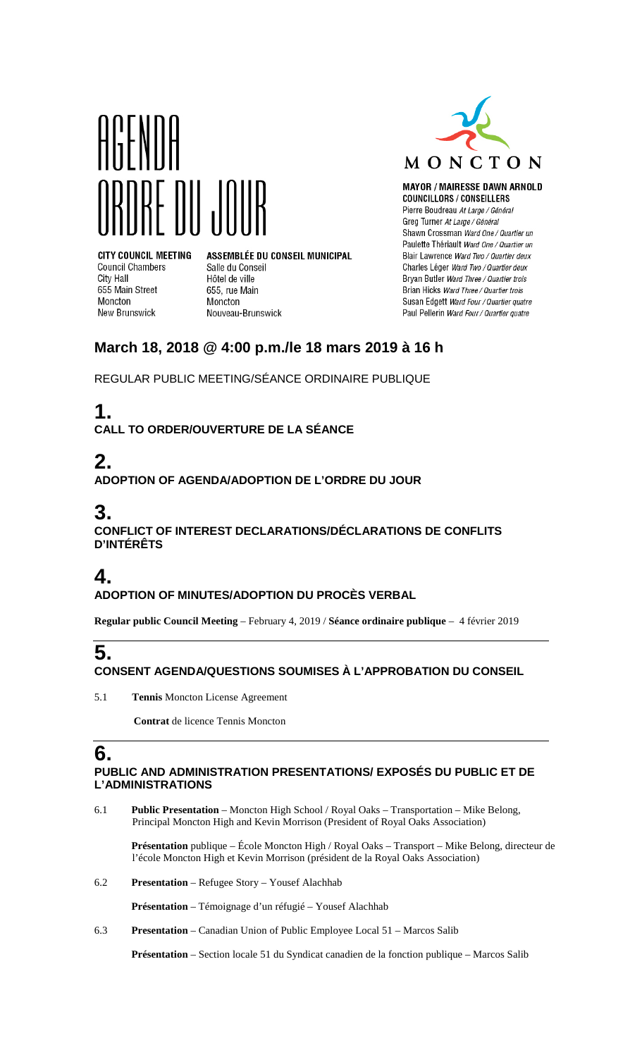



**MAYOR / MAIRESSE DAWN ARNOLD COUNCILLORS / CONSEILLERS** Pierre Boudreau At Large / Général Greg Turner At Large / Général Shawn Crossman Ward One / Quartier un Paulette Thériault Ward One / Quartier un Blair Lawrence Ward Two / Quartier deux Charles Léger Ward Two / Quartier deux Bryan Butler Ward Three / Quartier trois Brian Hicks Ward Three / Quartier trois Susan Edgett Ward Four / Quartier quatre Paul Pellerin Ward Four / Quartier quatre

#### **CITY COUNCIL MEETING Council Chambers** City Hall 655 Main Street Moncton New Brunswick

ASSEMBLÉE DU CONSEIL MUNICIPAL Salle du Conseil Hôtel de ville 655, rue Main Moncton Nouveau-Brunswick

## **March 18, 2018 @ 4:00 p.m./le 18 mars 2019 à 16 h**

REGULAR PUBLIC MEETING/SÉANCE ORDINAIRE PUBLIQUE

# **1.**

**CALL TO ORDER/OUVERTURE DE LA SÉANCE**

# **2.**

**ADOPTION OF AGENDA/ADOPTION DE L'ORDRE DU JOUR**

# **3.**

**CONFLICT OF INTEREST DECLARATIONS/DÉCLARATIONS DE CONFLITS D'INTÉRÊTS**

# **4.**

#### **ADOPTION OF MINUTES/ADOPTION DU PROCÈS VERBAL**

**Regular public Council Meeting** – February 4, 2019 / **Séance ordinaire publique** – 4 février 2019

#### **5. CONSENT AGENDA/QUESTIONS SOUMISES À L'APPROBATION DU CONSEIL**

5.1 **Tennis** Moncton License Agreement

**Contrat** de licence Tennis Moncton

## **6.**

#### **PUBLIC AND ADMINISTRATION PRESENTATIONS/ EXPOSÉS DU PUBLIC ET DE L'ADMINISTRATIONS**

6.1 **Public Presentation** – Moncton High School / Royal Oaks – Transportation – Mike Belong, Principal Moncton High and Kevin Morrison (President of Royal Oaks Association)

**Présentation** publique – École Moncton High / Royal Oaks – Transport – Mike Belong, directeur de l'école Moncton High et Kevin Morrison (président de la Royal Oaks Association)

6.2 **Presentation** – Refugee Story – Yousef Alachhab

**Présentation** – Témoignage d'un réfugié – Yousef Alachhab

6.3 **Presentation** – Canadian Union of Public Employee Local 51 – Marcos Salib

**Présentation** – Section locale 51 du Syndicat canadien de la fonction publique – Marcos Salib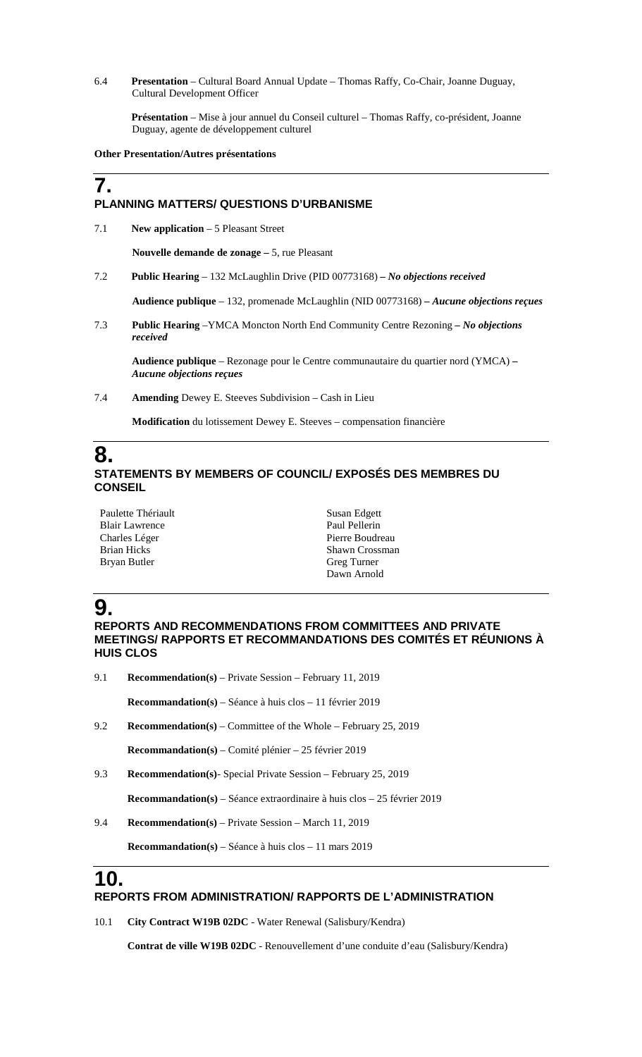6.4 **Presentation** – Cultural Board Annual Update – Thomas Raffy, Co-Chair, Joanne Duguay, Cultural Development Officer

**Présentation** – Mise à jour annuel du Conseil culturel – Thomas Raffy, co-président, Joanne Duguay, agente de développement culturel

**Other Presentation/Autres présentations**

#### **PLANNING MATTERS/ QUESTIONS D'URBANISME**

7.1 **New application** – 5 Pleasant Street

**Nouvelle demande de zonage –** 5, rue Pleasant

7.2 **Public Hearing** – 132 McLaughlin Drive (PID 00773168) *– No objections received*

**Audience publique** – 132, promenade McLaughlin (NID 00773168) *– Aucune objections reçues*

7.3 **Public Hearing** –YMCA Moncton North End Community Centre Rezoning *– No objections received*

**Audience publique** – Rezonage pour le Centre communautaire du quartier nord (YMCA) *– Aucune objections reçues*

7.4 **Amending** Dewey E. Steeves Subdivision – Cash in Lieu

**Modification** du lotissement Dewey E. Steeves – compensation financière

#### **8. STATEMENTS BY MEMBERS OF COUNCIL/ EXPOSÉS DES MEMBRES DU CONSEIL**

Paulette Thériault Blair Lawrence Charles Léger Brian Hicks Bryan Butler

Susan Edgett Paul Pellerin Pierre Boudreau Shawn Crossman Greg Turner Dawn Arnold

# **9.**

**7.**

**REPORTS AND RECOMMENDATIONS FROM COMMITTEES AND PRIVATE MEETINGS/ RAPPORTS ET RECOMMANDATIONS DES COMITÉS ET RÉUNIONS À HUIS CLOS**

9.1 **Recommendation(s)** – Private Session – February 11, 2019

**Recommandation(s)** – Séance à huis clos – 11 février 2019

9.2 **Recommendation(s)** – Committee of the Whole – February 25, 2019

**Recommandation(s)** – Comité plénier – 25 février 2019

9.3 **Recommendation(s)**- Special Private Session – February 25, 2019

**Recommandation(s)** – Séance extraordinaire à huis clos – 25 février 2019

9.4 **Recommendation(s)** – Private Session – March 11, 2019

**Recommandation(s)** – Séance à huis clos – 11 mars 2019

### **10.**

#### **REPORTS FROM ADMINISTRATION/ RAPPORTS DE L'ADMINISTRATION**

10.1 **City Contract W19B 02DC** - Water Renewal (Salisbury/Kendra)

 **Contrat de ville W19B 02DC** - Renouvellement d'une conduite d'eau (Salisbury/Kendra)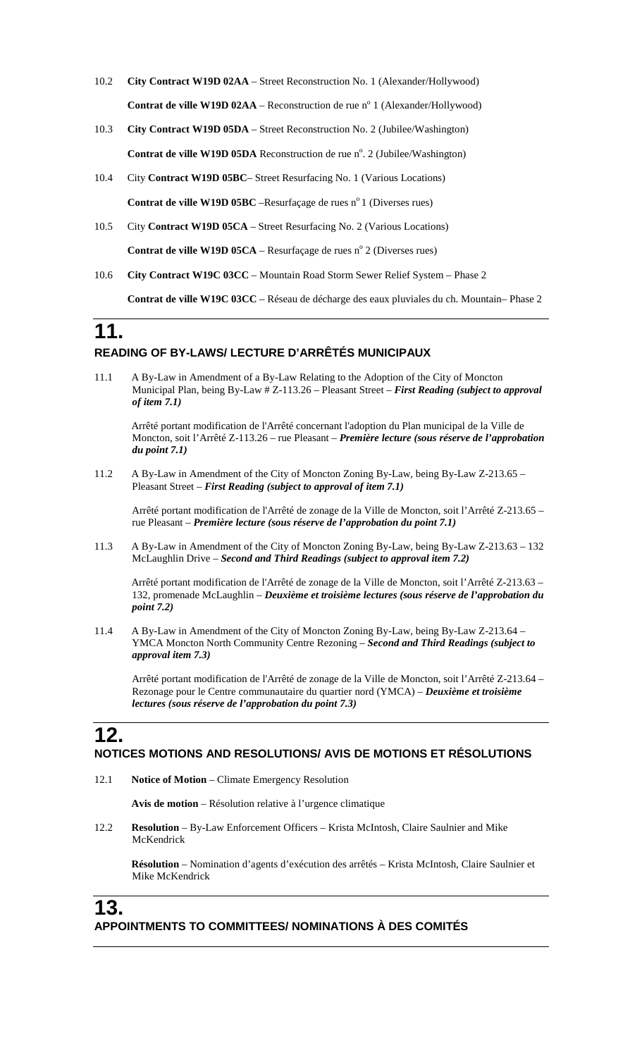- 10.2 **City Contract W19D 02AA** Street Reconstruction No. 1 (Alexander/Hollywood) **Contrat de ville W19D 02AA** – Reconstruction de rue n<sup>o</sup> 1 (Alexander/Hollywood)
- 10.3 **City Contract W19D 05DA** Street Reconstruction No. 2 (Jubilee/Washington) Contrat de ville W19D 05DA Reconstruction de rue n°. 2 (Jubilee/Washington)
- 10.4 City **Contract W19D 05BC** Street Resurfacing No. 1 (Various Locations) **Contrat de ville W19D 05BC** –Resurfaçage de rues n<sup>o</sup> 1 (Diverses rues)
- 10.5 City **Contract W19D 05CA** Street Resurfacing No. 2 (Various Locations) **Contrat de ville W19D 05CA** – Resurfaçage de rues nº 2 (Diverses rues)
- 10.6 **City Contract W19C 03CC** Mountain Road Storm Sewer Relief System Phase 2

**Contrat de ville W19C 03CC** – Réseau de décharge des eaux pluviales du ch. Mountain– Phase 2

### **11. READING OF BY-LAWS/ LECTURE D'ARRÊTÉS MUNICIPAUX**

11.1 A By-Law in Amendment of a By-Law Relating to the Adoption of the City of Moncton Municipal Plan, being By-Law # Z-113.26 – Pleasant Street – *First Reading (subject to approval of item 7.1)*

Arrêté portant modification de l'Arrêté concernant l'adoption du Plan municipal de la Ville de Moncton, soit l'Arrêté Z-113.26 – rue Pleasant – *Première lecture (sous réserve de l'approbation du point 7.1)*

11.2 A By-Law in Amendment of the City of Moncton Zoning By-Law, being By-Law Z-213.65 – Pleasant Street – *First Reading (subject to approval of item 7.1)*

Arrêté portant modification de l'Arrêté de zonage de la Ville de Moncton, soit l'Arrêté Z-213.65 – rue Pleasant – *Première lecture (sous réserve de l'approbation du point 7.1)*

11.3 A By-Law in Amendment of the City of Moncton Zoning By-Law, being By-Law Z-213.63 – 132 McLaughlin Drive – *Second and Third Readings (subject to approval item 7.2)*

Arrêté portant modification de l'Arrêté de zonage de la Ville de Moncton, soit l'Arrêté Z-213.63 – 132, promenade McLaughlin – *Deuxième et troisième lectures (sous réserve de l'approbation du point 7.2)*

11.4 A By-Law in Amendment of the City of Moncton Zoning By-Law, being By-Law Z-213.64 – YMCA Moncton North Community Centre Rezoning – *Second and Third Readings (subject to approval item 7.3)*

Arrêté portant modification de l'Arrêté de zonage de la Ville de Moncton, soit l'Arrêté Z-213.64 – Rezonage pour le Centre communautaire du quartier nord (YMCA) – *Deuxième et troisième lectures (sous réserve de l'approbation du point 7.3)*

#### **12. NOTICES MOTIONS AND RESOLUTIONS/ AVIS DE MOTIONS ET RÉSOLUTIONS**

12.1 **Notice of Motion** – Climate Emergency Resolution

**Avis de motion** – Résolution relative à l'urgence climatique

12.2 **Resolution** – By-Law Enforcement Officers – Krista McIntosh, Claire Saulnier and Mike McKendrick

**Résolution** – Nomination d'agents d'exécution des arrêtés – Krista McIntosh, Claire Saulnier et Mike McKendrick

#### **13. APPOINTMENTS TO COMMITTEES/ NOMINATIONS À DES COMITÉS**